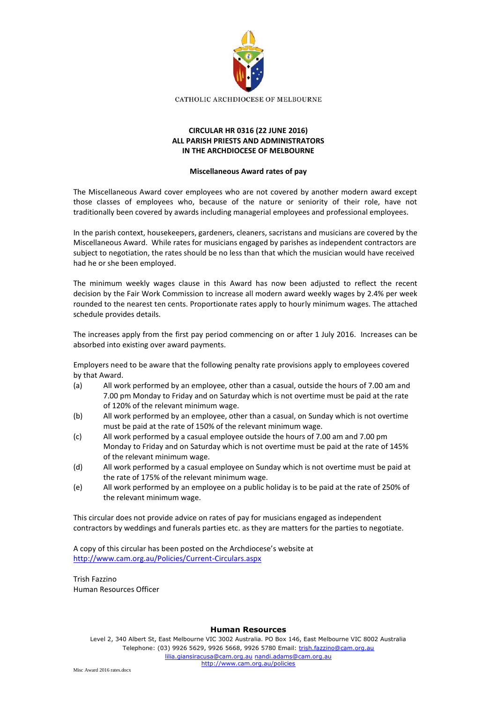

## **CIRCULAR HR 0316 (22 JUNE 2016) ALL PARISH PRIESTS AND ADMINISTRATORS IN THE ARCHDIOCESE OF MELBOURNE**

## **Miscellaneous Award rates of pay**

The Miscellaneous Award cover employees who are not covered by another modern award except those classes of employees who, because of the nature or seniority of their role, have not traditionally been covered by awards including managerial employees and professional employees.

In the parish context, housekeepers, gardeners, cleaners, sacristans and musicians are covered by the Miscellaneous Award. While rates for musicians engaged by parishes as independent contractors are subject to negotiation, the rates should be no less than that which the musician would have received had he or she been employed.

The minimum weekly wages clause in this Award has now been adjusted to reflect the recent decision by the Fair Work Commission to increase all modern award weekly wages by 2.4% per week rounded to the nearest ten cents. Proportionate rates apply to hourly minimum wages. The attached schedule provides details.

The increases apply from the first pay period commencing on or after 1 July 2016. Increases can be absorbed into existing over award payments.

Employers need to be aware that the following penalty rate provisions apply to employees covered by that Award.

- (a) All work performed by an employee, other than a casual, outside the hours of 7.00 am and 7.00 pm Monday to Friday and on Saturday which is not overtime must be paid at the rate of 120% of the relevant minimum wage.
- (b) All work performed by an employee, other than a casual, on Sunday which is not overtime must be paid at the rate of 150% of the relevant minimum wage.
- (c) All work performed by a casual employee outside the hours of 7.00 am and 7.00 pm Monday to Friday and on Saturday which is not overtime must be paid at the rate of 145% of the relevant minimum wage.
- (d) All work performed by a casual employee on Sunday which is not overtime must be paid at the rate of 175% of the relevant minimum wage.
- (e) All work performed by an employee on a public holiday is to be paid at the rate of 250% of the relevant minimum wage.

This circular does not provide advice on rates of pay for musicians engaged as independent contractors by weddings and funerals parties etc. as they are matters for the parties to negotiate.

A copy of this circular has been posted on the Archdiocese's website at <http://www.cam.org.au/Policies/Current-Circulars.aspx>

Trish Fazzino Human Resources Officer

## **Human Resources**

Level 2, 340 Albert St, East Melbourne VIC 3002 Australia. PO Box 146, East Melbourne VIC 8002 Australia Telephone: (03) 9926 5629, 9926 5668, 9926 5780 Email: [trish.fazzino@cam.org.au](mailto:trish.fazzino@cam.org.au)